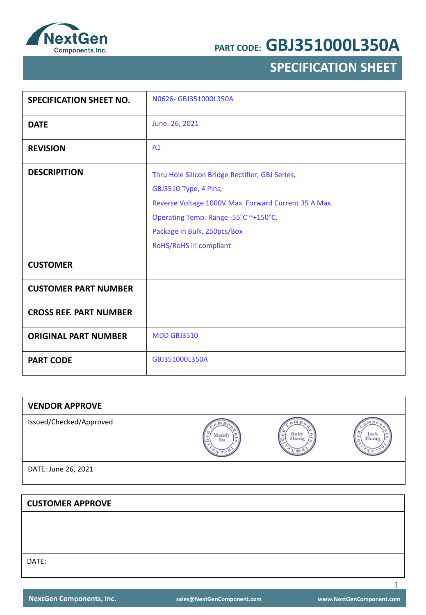

## **SPECIFICATION SHEET**

| <b>SPECIFICATION SHEET NO.</b> | N0626-GBJ351000L350A                                 |
|--------------------------------|------------------------------------------------------|
| <b>DATE</b>                    | June. 26, 2021                                       |
| <b>REVISION</b>                | A1                                                   |
| <b>DESCRIPITION</b>            | Thru Hole Silicon Bridge Rectifier, GBJ Series,      |
|                                | GBJ3510 Type, 4 Pins,                                |
|                                | Reverse Voltage 1000V Max. Forward Current 35 A Max. |
|                                | Operating Temp. Range -55°C ~+150°C,                 |
|                                | Package in Bulk, 250pcs/Box                          |
|                                | RoHS/RoHS III compliant                              |
| <b>CUSTOMER</b>                |                                                      |
| <b>CUSTOMER PART NUMBER</b>    |                                                      |
| <b>CROSS REF. PART NUMBER</b>  |                                                      |
| <b>ORIGINAL PART NUMBER</b>    | <b>MDD GBJ3510</b>                                   |
| <b>PART CODE</b>               | GBJ351000L350A                                       |

| <b>VENDOR APPROVE</b>   |             |               |               |
|-------------------------|-------------|---------------|---------------|
| Issued/Checked/Approved | Mandy<br>Xu | Ruby<br>Zhang | Jack<br>Zhang |
| DATE: June 26, 2021     |             |               |               |
|                         |             |               |               |
| <b>CUSTOMER APPROVE</b> |             |               |               |
|                         |             |               |               |
|                         |             |               |               |
|                         |             |               |               |
| DATE:                   |             |               |               |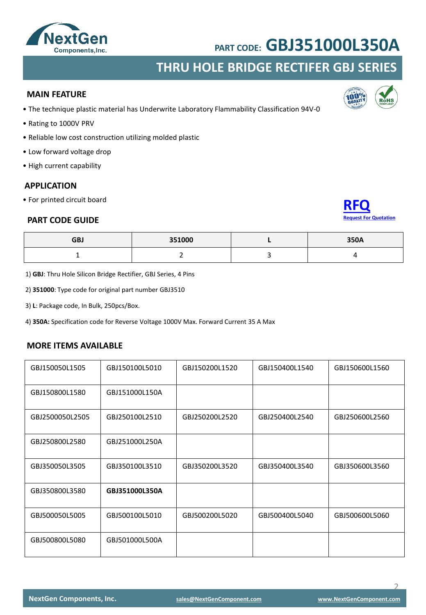

### **THRU HOLE BRIDGE RECTIFER GBJ SERIES**

#### **MAIN FEATURE**

- The technique plastic material has Underwrite Laboratory Flammability Classification 94V-0
- Rating to 1000V PRV
- Reliable low cost construction utilizing molded plastic
- Low forward voltage drop
- High current capability

#### **APPLICATION**

• For printed circuit board

#### **PART CODE GUIDE**



**ion**<sup>%</sup>

| <b>GBJ</b> | 351000 | 350A |
|------------|--------|------|
|            |        |      |

1) **GBJ**: Thru Hole Silicon Bridge Rectifier, GBJ Series, 4 Pins

2) **351000**: Type code for original part number GBJ3510

3) **L**: Package code, In Bulk, 250pcs/Box.

4) **350A:** Specification code for Reverse Voltage 1000V Max. Forward Current 35 A Max

#### **MORE ITEMS AVAILABLE**

| GBJ150050L1505  | GBJ150100L5010 | GBJ150200L1520 | GBJ150400L1540 | GBJ150600L1560 |
|-----------------|----------------|----------------|----------------|----------------|
| GBJ150800L1580  | GBJ151000L150A |                |                |                |
| GBJ2500050L2505 | GBJ250100L2510 | GBJ250200L2520 | GBJ250400L2540 | GBJ250600L2560 |
| GBJ250800L2580  | GBJ251000L250A |                |                |                |
| GBJ350050L3505  | GBJ350100L3510 | GBJ350200L3520 | GBJ350400L3540 | GBJ350600L3560 |
| GBJ350800L3580  | GBJ351000L350A |                |                |                |
| GBJ500050L5005  | GBJ500100L5010 | GBJ500200L5020 | GBJ500400L5040 | GBJ500600L5060 |
| GBJ500800L5080  | GBJ501000L500A |                |                |                |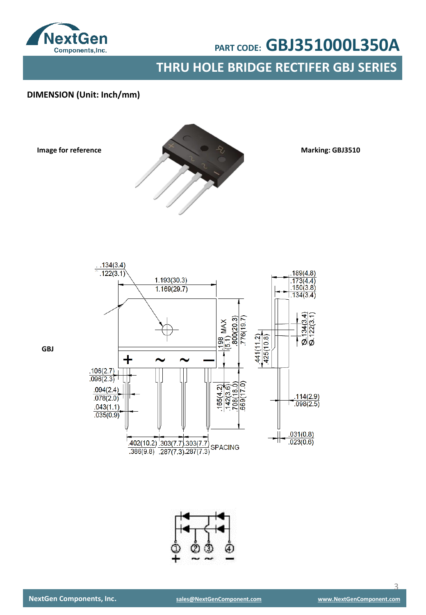

**THRU HOLE BRIDGE RECTIFER GBJ SERIES**

### **DIMENSION (Unit: Inch/mm)**

**Image for reference**



**Marking: GBJ3510**





**GBJ**

 $\overline{\mathcal{L}}$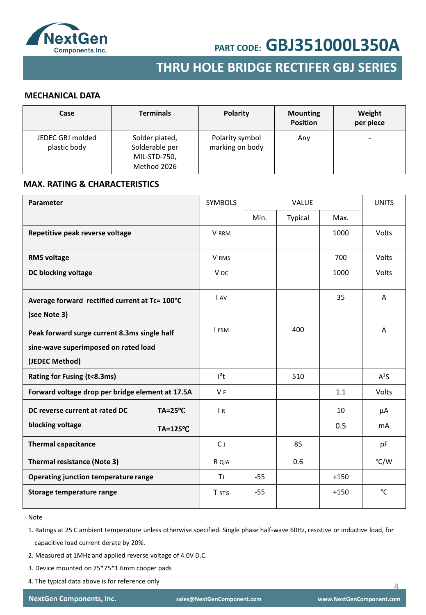

## **SMD SCHOTTKY BARRIER RECTIFER SMD GENERAL RECTIFER THRU HOLE BRIDGE RECTIFER GBJ SERIES**

#### **MECHANICAL DATA**

| Case                             | <b>Terminals</b>                                                | Polarity                           | <b>Mounting</b><br><b>Position</b> | Weight<br>per piece      |
|----------------------------------|-----------------------------------------------------------------|------------------------------------|------------------------------------|--------------------------|
| JEDEC GBJ molded<br>plastic body | Solder plated,<br>Solderable per<br>MIL-STD-750,<br>Method 2026 | Polarity symbol<br>marking on body | Any                                | $\overline{\phantom{0}}$ |

#### **MAX. RATING & CHARACTERISTICS**

| Parameter                                                                                              |                     | <b>SYMBOLS</b>  | <b>VALUE</b> |         | <b>UNITS</b> |                |
|--------------------------------------------------------------------------------------------------------|---------------------|-----------------|--------------|---------|--------------|----------------|
|                                                                                                        |                     |                 | Min.         | Typical | Max.         |                |
| Repetitive peak reverse voltage                                                                        |                     | <b>V</b> RRM    |              |         | 1000         | Volts          |
| <b>RMS voltage</b>                                                                                     |                     | V RMS           |              |         | 700          | Volts          |
| DC blocking voltage                                                                                    |                     | V <sub>DC</sub> |              |         | 1000         | Volts          |
| Average forward rectified current at Tc= 100°C<br>(see Note 3)                                         |                     | I AV            |              |         | 35           | A              |
| Peak forward surge current 8.3ms single half<br>sine-wave superimposed on rated load<br>(JEDEC Method) |                     | I FSM           |              | 400     |              | A              |
| Rating for Fusing (t<8.3ms)                                                                            |                     | $l^2t$          |              | 510     |              | $A^2S$         |
| Forward voltage drop per bridge element at 17.5A                                                       |                     | V <sub>F</sub>  |              |         | 1.1          | Volts          |
| DC reverse current at rated DC                                                                         | $TA = 25^{\circ}C$  | $\overline{R}$  |              |         | 10           | μA             |
| blocking voltage                                                                                       | $TA = 125^{\circ}C$ |                 |              |         | 0.5          | m <sub>A</sub> |
| <b>Thermal capacitance</b>                                                                             |                     | $C_{J}$         |              | 85      |              | pF             |
| <b>Thermal resistance (Note 3)</b>                                                                     |                     | R QJA           |              | 0.6     |              | °C/W           |
| Operating junction temperature range                                                                   |                     | TJ.             | $-55$        |         | $+150$       |                |
| Storage temperature range                                                                              |                     | T STG           | $-55$        |         | $+150$       | °C             |

Note

1. Ratings at 25 C ambient temperature unless otherwise specified. Single phase half-wave 60Hz, resistive or inductive load, for capacitive load current derate by 20%.

- 2. Measured at 1MHz and applied reverse voltage of 4.0V D.C.
- 3. Device mounted on 75\*75\*1.6mm cooper pads
- 4. The typical data above is for reference only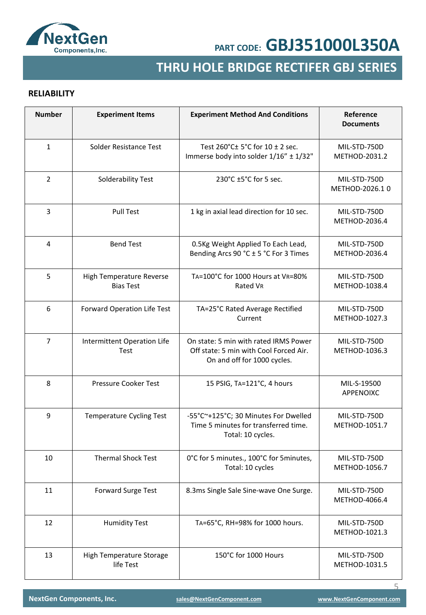

## **SMD GENERAL RECTIFER THRU HOLE BRIDGE RECTIFER GBJ SERIES**

### **RELIABILITY**

| <b>Number</b>  | <b>Experiment Items</b>                      | <b>Experiment Method And Conditions</b>                                                                        | Reference<br><b>Documents</b>  |
|----------------|----------------------------------------------|----------------------------------------------------------------------------------------------------------------|--------------------------------|
| $\mathbf{1}$   | Solder Resistance Test                       | Test 260°C± 5°C for 10 ± 2 sec.<br>Immerse body into solder 1/16" ± 1/32"                                      | MIL-STD-750D<br>METHOD-2031.2  |
| 2              | Solderability Test                           | 230°C ±5°C for 5 sec.                                                                                          | MIL-STD-750D<br>METHOD-2026.10 |
| 3              | <b>Pull Test</b>                             | 1 kg in axial lead direction for 10 sec.                                                                       | MIL-STD-750D<br>METHOD-2036.4  |
| 4              | <b>Bend Test</b>                             | 0.5Kg Weight Applied To Each Lead,<br>Bending Arcs 90 °C ± 5 °C For 3 Times                                    | MIL-STD-750D<br>METHOD-2036.4  |
| 5              | High Temperature Reverse<br><b>Bias Test</b> | TA=100°C for 1000 Hours at VR=80%<br>Rated VR                                                                  | MIL-STD-750D<br>METHOD-1038.4  |
| 6              | Forward Operation Life Test                  | TA=25°C Rated Average Rectified<br>Current                                                                     | MIL-STD-750D<br>METHOD-1027.3  |
| $\overline{7}$ | Intermittent Operation Life<br>Test          | On state: 5 min with rated IRMS Power<br>Off state: 5 min with Cool Forced Air.<br>On and off for 1000 cycles. | MIL-STD-750D<br>METHOD-1036.3  |
| 8              | <b>Pressure Cooker Test</b>                  | 15 PSIG, TA=121°C, 4 hours                                                                                     | MIL-S-19500<br>APPENOIXC       |
| 9              | <b>Temperature Cycling Test</b>              | -55°C~+125°C; 30 Minutes For Dwelled<br>Time 5 minutes for transferred time.<br>Total: 10 cycles.              | MIL-STD-750D<br>METHOD-1051.7  |
| 10             | <b>Thermal Shock Test</b>                    | 0°C for 5 minutes., 100°C for 5 minutes,<br>Total: 10 cycles                                                   | MIL-STD-750D<br>METHOD-1056.7  |
| 11             | <b>Forward Surge Test</b>                    | 8.3ms Single Sale Sine-wave One Surge.                                                                         | MIL-STD-750D<br>METHOD-4066.4  |
| 12             | <b>Humidity Test</b>                         | TA=65°C, RH=98% for 1000 hours.                                                                                | MIL-STD-750D<br>METHOD-1021.3  |
| 13             | High Temperature Storage<br>life Test        | 150°C for 1000 Hours                                                                                           | MIL-STD-750D<br>METHOD-1031.5  |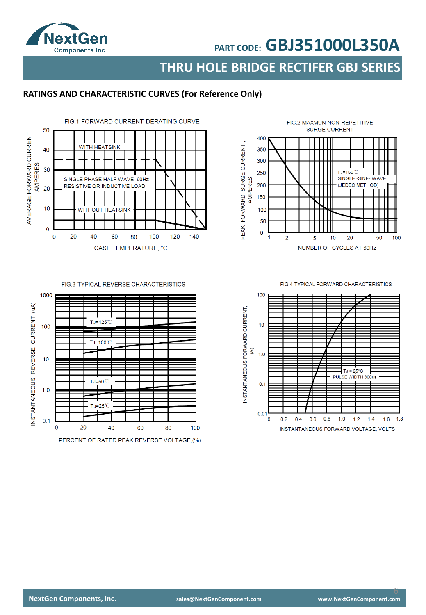

**THRU HOLE BRIDGE RECTIFER GBJ SERIES**

### **RATINGS AND CHARACTERISTIC CURVES (For Reference Only)**



#### FIG.3-TYPICAL REVERSE CHARACTERISTICS



FIG.2-MAXMUN NON-REPETITIVE **SURGE CURRENT** 400 PEAK FORWARD SURGE CURRENT, 350 300 250  $TJ=150^{\circ}C$ SINGLE -SINE-WAVE AMPERES 200 (JEDEC METHOD) 150 100 50  $\mathbf 0$  $\overline{a}$ 5  $10$ 20 50 100 1 NUMBER OF CYCLES AT 60Hz

FIG 4-TYPICAL FORWARD CHARACTERISTICS